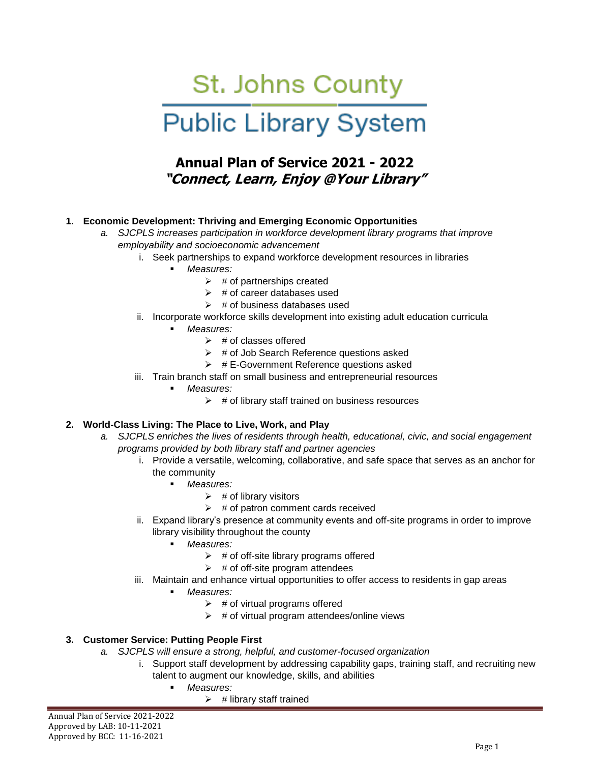# St. Johns County Public Library System

# **Annual Plan of Service 2021 - 2022 "Connect, Learn, Enjoy @Your Library"**

## **1. Economic Development: Thriving and Emerging Economic Opportunities**

- *a. SJCPLS increases participation in workforce development library programs that improve employability and socioeconomic advancement* 
	- i. Seek partnerships to expand workforce development resources in libraries
		- *Measures:*
			- $\triangleright$  # of partnerships created
			- $\triangleright$  # of career databases used
			- $\triangleright$  # of business databases used
	- ii. Incorporate workforce skills development into existing adult education curricula
		- *Measures:*
			- $\triangleright$  # of classes offered
			- $\triangleright$  # of Job Search Reference questions asked
			- $\triangleright$  # E-Government Reference questions asked
	- iii. Train branch staff on small business and entrepreneurial resources
		- *Measures:*
			- $\triangleright$  # of library staff trained on business resources

#### **2. World-Class Living: The Place to Live, Work, and Play**

- *a. SJCPLS enriches the lives of residents through health, educational, civic, and social engagement programs provided by both library staff and partner agencies*
	- i. Provide a versatile, welcoming, collaborative, and safe space that serves as an anchor for the community
		- *Measures:*
			- $\triangleright$  # of library visitors
			- $\triangleright$  # of patron comment cards received
	- ii. Expand library's presence at community events and off-site programs in order to improve library visibility throughout the county
		- *Measures:*
			- $\triangleright$  # of off-site library programs offered
			- $\triangleright$  # of off-site program attendees
	- iii. Maintain and enhance virtual opportunities to offer access to residents in gap areas
		- *Measures:*
			- $\triangleright$  # of virtual programs offered
			- $\triangleright$  # of virtual program attendees/online views

### **3. Customer Service: Putting People First**

- *a. SJCPLS will ensure a strong, helpful, and customer-focused organization*
	- i. Support staff development by addressing capability gaps, training staff, and recruiting new talent to augment our knowledge, skills, and abilities
		- *Measures:*
			- $\triangleright$  # library staff trained